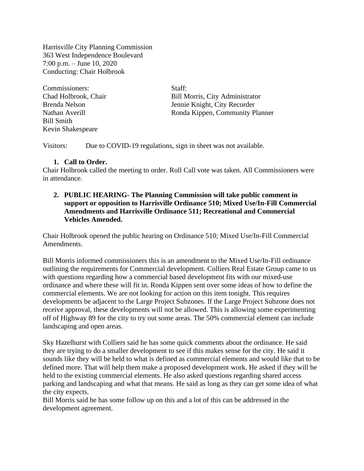Harrisville City Planning Commission 363 West Independence Boulevard 7:00 p.m. – June 10, 2020 Conducting: Chair Holbrook

Commissioners: Staff: Bill Smith Kevin Shakespeare

Chad Holbrook, Chair Bill Morris, City Administrator Brenda Nelson Jennie Knight, City Recorder Nathan Averill Ronda Kippen, Community Planner

Visitors: Due to COVID-19 regulations, sign in sheet was not available.

#### **1. Call to Order.**

Chair Holbrook called the meeting to order. Roll Call vote was taken. All Commissioners were in attendance.

## **2. PUBLIC HEARING- The Planning Commission will take public comment in support or opposition to Harrisville Ordinance 510; Mixed Use/In-Fill Commercial Amendments and Harrisville Ordinance 511; Recreational and Commercial Vehicles Amended.**

Chair Holbrook opened the public hearing on Ordinance 510; Mixed Use/In-Fill Commercial Amendments.

Bill Morris informed commissioners this is an amendment to the Mixed Use/In-Fill ordinance outlining the requirements for Commercial development. Colliers Real Estate Group came to us with questions regarding how a commercial based development fits with our mixed-use ordinance and where these will fit in. Ronda Kippen sent over some ideas of how to define the commercial elements. We are not looking for action on this item tonight. This requires developments be adjacent to the Large Project Subzones. If the Large Project Subzone does not receive approval, these developments will not be allowed. This is allowing some experimenting off of Highway 89 for the city to try out some areas. The 50% commercial element can include landscaping and open areas.

Sky Hazelhurst with Colliers said he has some quick comments about the ordinance. He said they are trying to do a smaller development to see if this makes sense for the city. He said it sounds like they will be held to what is defined as commercial elements and would like that to be defined more. That will help them make a proposed development work. He asked if they will be held to the existing commercial elements. He also asked questions regarding shared access parking and landscaping and what that means. He said as long as they can get some idea of what the city expects.

Bill Morris said he has some follow up on this and a lot of this can be addressed in the development agreement.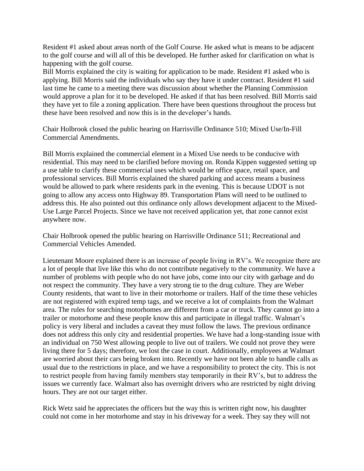Resident #1 asked about areas north of the Golf Course. He asked what is means to be adjacent to the golf course and will all of this be developed. He further asked for clarification on what is happening with the golf course.

Bill Morris explained the city is waiting for application to be made. Resident #1 asked who is applying. Bill Morris said the individuals who say they have it under contract. Resident #1 said last time he came to a meeting there was discussion about whether the Planning Commission would approve a plan for it to be developed. He asked if that has been resolved. Bill Morris said they have yet to file a zoning application. There have been questions throughout the process but these have been resolved and now this is in the developer's hands.

Chair Holbrook closed the public hearing on Harrisville Ordinance 510; Mixed Use/In-Fill Commercial Amendments.

Bill Morris explained the commercial element in a Mixed Use needs to be conducive with residential. This may need to be clarified before moving on. Ronda Kippen suggested setting up a use table to clarify these commercial uses which would be office space, retail space, and professional services. Bill Morris explained the shared parking and access means a business would be allowed to park where residents park in the evening. This is because UDOT is not going to allow any access onto Highway 89. Transportation Plans will need to be outlined to address this. He also pointed out this ordinance only allows development adjacent to the Mixed-Use Large Parcel Projects. Since we have not received application yet, that zone cannot exist anywhere now.

Chair Holbrook opened the public hearing on Harrisville Ordinance 511; Recreational and Commercial Vehicles Amended.

Lieutenant Moore explained there is an increase of people living in RV's. We recognize there are a lot of people that live like this who do not contribute negatively to the community. We have a number of problems with people who do not have jobs, come into our city with garbage and do not respect the community. They have a very strong tie to the drug culture. They are Weber County residents, that want to live in their motorhome or trailers. Half of the time these vehicles are not registered with expired temp tags, and we receive a lot of complaints from the Walmart area. The rules for searching motorhomes are different from a car or truck. They cannot go into a trailer or motorhome and these people know this and participate in illegal traffic. Walmart's policy is very liberal and includes a caveat they must follow the laws. The previous ordinance does not address this only city and residential properties. We have had a long-standing issue with an individual on 750 West allowing people to live out of trailers. We could not prove they were living there for 5 days; therefore, we lost the case in court. Additionally, employees at Walmart are worried about their cars being broken into. Recently we have not been able to handle calls as usual due to the restrictions in place, and we have a responsibility to protect the city. This is not to restrict people from having family members stay temporarily in their RV's, but to address the issues we currently face. Walmart also has overnight drivers who are restricted by night driving hours. They are not our target either.

Rick Wetz said he appreciates the officers but the way this is written right now, his daughter could not come in her motorhome and stay in his driveway for a week. They say they will not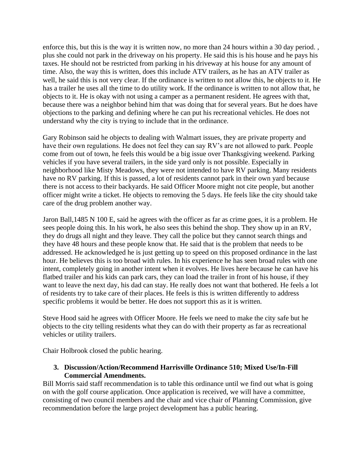enforce this, but this is the way it is written now, no more than 24 hours within a 30 day period. , plus she could not park in the driveway on his property. He said this is his house and he pays his taxes. He should not be restricted from parking in his driveway at his house for any amount of time. Also, the way this is written, does this include ATV trailers, as he has an ATV trailer as well, he said this is not very clear. If the ordinance is written to not allow this, he objects to it. He has a trailer he uses all the time to do utility work. If the ordinance is written to not allow that, he objects to it. He is okay with not using a camper as a permanent resident. He agrees with that, because there was a neighbor behind him that was doing that for several years. But he does have objections to the parking and defining where he can put his recreational vehicles. He does not understand why the city is trying to include that in the ordinance.

Gary Robinson said he objects to dealing with Walmart issues, they are private property and have their own regulations. He does not feel they can say RV's are not allowed to park. People come from out of town, he feels this would be a big issue over Thanksgiving weekend. Parking vehicles if you have several trailers, in the side yard only is not possible. Especially in neighborhood like Misty Meadows, they were not intended to have RV parking. Many residents have no RV parking. If this is passed, a lot of residents cannot park in their own yard because there is not access to their backyards. He said Officer Moore might not cite people, but another officer might write a ticket. He objects to removing the 5 days. He feels like the city should take care of the drug problem another way.

Jaron Ball,1485 N 100 E, said he agrees with the officer as far as crime goes, it is a problem. He sees people doing this. In his work, he also sees this behind the shop. They show up in an RV, they do drugs all night and they leave. They call the police but they cannot search things and they have 48 hours and these people know that. He said that is the problem that needs to be addressed. He acknowledged he is just getting up to speed on this proposed ordinance in the last hour. He believes this is too broad with rules. In his experience he has seen broad rules with one intent, completely going in another intent when it evolves. He lives here because he can have his flatbed trailer and his kids can park cars, they can load the trailer in front of his house, if they want to leave the next day, his dad can stay. He really does not want that bothered. He feels a lot of residents try to take care of their places. He feels is this is written differently to address specific problems it would be better. He does not support this as it is written.

Steve Hood said he agrees with Officer Moore. He feels we need to make the city safe but he objects to the city telling residents what they can do with their property as far as recreational vehicles or utility trailers.

Chair Holbrook closed the public hearing.

## **3. Discussion/Action/Recommend Harrisville Ordinance 510; Mixed Use/In-Fill Commercial Amendments.**

Bill Morris said staff recommendation is to table this ordinance until we find out what is going on with the golf course application. Once application is received, we will have a committee, consisting of two council members and the chair and vice chair of Planning Commission, give recommendation before the large project development has a public hearing.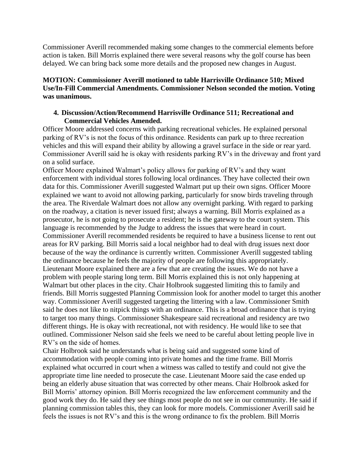Commissioner Averill recommended making some changes to the commercial elements before action is taken. Bill Morris explained there were several reasons why the golf course has been delayed. We can bring back some more details and the proposed new changes in August.

# **MOTION: Commissioner Averill motioned to table Harrisville Ordinance 510; Mixed Use/In-Fill Commercial Amendments. Commissioner Nelson seconded the motion. Voting was unanimous.**

## **4. Discussion/Action/Recommend Harrisville Ordinance 511; Recreational and Commercial Vehicles Amended.**

Officer Moore addressed concerns with parking recreational vehicles. He explained personal parking of RV's is not the focus of this ordinance. Residents can park up to three recreation vehicles and this will expand their ability by allowing a gravel surface in the side or rear yard. Commissioner Averill said he is okay with residents parking RV's in the driveway and front yard on a solid surface.

Officer Moore explained Walmart's policy allows for parking of RV's and they want enforcement with individual stores following local ordinances. They have collected their own data for this. Commissioner Averill suggested Walmart put up their own signs. Officer Moore explained we want to avoid not allowing parking, particularly for snow birds traveling through the area. The Riverdale Walmart does not allow any overnight parking. With regard to parking on the roadway, a citation is never issued first; always a warning. Bill Morris explained as a prosecutor, he is not going to prosecute a resident; he is the gateway to the court system. This language is recommended by the Judge to address the issues that were heard in court. Commissioner Averill recommended residents be required to have a business license to rent out areas for RV parking. Bill Morris said a local neighbor had to deal with drug issues next door because of the way the ordinance is currently written. Commissioner Averill suggested tabling the ordinance because he feels the majority of people are following this appropriately. Lieutenant Moore explained there are a few that are creating the issues. We do not have a problem with people staring long term. Bill Morris explained this is not only happening at Walmart but other places in the city. Chair Holbrook suggested limiting this to family and friends. Bill Morris suggested Planning Commission look for another model to target this another way. Commissioner Averill suggested targeting the littering with a law. Commissioner Smith said he does not like to nitpick things with an ordinance. This is a broad ordinance that is trying to target too many things. Commissioner Shakespeare said recreational and residency are two different things. He is okay with recreational, not with residency. He would like to see that outlined. Commissioner Nelson said she feels we need to be careful about letting people live in RV's on the side of homes.

Chair Holbrook said he understands what is being said and suggested some kind of accommodation with people coming into private homes and the time frame. Bill Morris explained what occurred in court when a witness was called to testify and could not give the appropriate time line needed to prosecute the case. Lieutenant Moore said the case ended up being an elderly abuse situation that was corrected by other means. Chair Holbrook asked for Bill Morris' attorney opinion. Bill Morris recognized the law enforcement community and the good work they do. He said they see things most people do not see in our community. He said if planning commission tables this, they can look for more models. Commissioner Averill said he feels the issues is not RV's and this is the wrong ordinance to fix the problem. Bill Morris